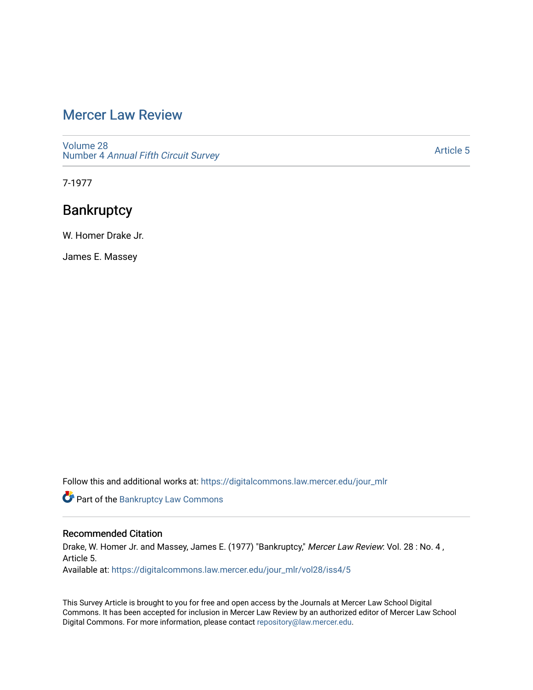# [Mercer Law Review](https://digitalcommons.law.mercer.edu/jour_mlr)

[Volume 28](https://digitalcommons.law.mercer.edu/jour_mlr/vol28) Number 4 [Annual Fifth Circuit Survey](https://digitalcommons.law.mercer.edu/jour_mlr/vol28/iss4)

[Article 5](https://digitalcommons.law.mercer.edu/jour_mlr/vol28/iss4/5) 

7-1977

# **Bankruptcy**

W. Homer Drake Jr.

James E. Massey

Follow this and additional works at: [https://digitalcommons.law.mercer.edu/jour\\_mlr](https://digitalcommons.law.mercer.edu/jour_mlr?utm_source=digitalcommons.law.mercer.edu%2Fjour_mlr%2Fvol28%2Fiss4%2F5&utm_medium=PDF&utm_campaign=PDFCoverPages)

Part of the [Bankruptcy Law Commons](http://network.bepress.com/hgg/discipline/583?utm_source=digitalcommons.law.mercer.edu%2Fjour_mlr%2Fvol28%2Fiss4%2F5&utm_medium=PDF&utm_campaign=PDFCoverPages) 

### Recommended Citation

Drake, W. Homer Jr. and Massey, James E. (1977) "Bankruptcy," Mercer Law Review: Vol. 28 : No. 4, Article 5. Available at: [https://digitalcommons.law.mercer.edu/jour\\_mlr/vol28/iss4/5](https://digitalcommons.law.mercer.edu/jour_mlr/vol28/iss4/5?utm_source=digitalcommons.law.mercer.edu%2Fjour_mlr%2Fvol28%2Fiss4%2F5&utm_medium=PDF&utm_campaign=PDFCoverPages)

This Survey Article is brought to you for free and open access by the Journals at Mercer Law School Digital Commons. It has been accepted for inclusion in Mercer Law Review by an authorized editor of Mercer Law School Digital Commons. For more information, please contact [repository@law.mercer.edu](mailto:repository@law.mercer.edu).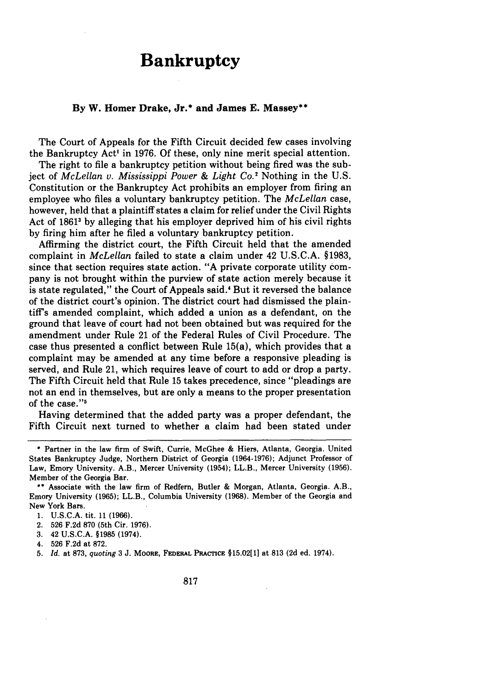# **Bankruptcy**

#### **By W. Homer Drake, Jr.\* and James E. Massey\*\***

The Court of Appeals for the Fifth Circuit decided few cases involving the Bankruptcy Act' in **1976. Of** these, only nine merit special attention.

The right to file a bankruptcy petition without being fired was the subject of *McLellan v. Mississippi Power & Light Co.2* Nothing in the U.S. Constitution or the Bankruptcy Act prohibits an employer from firing an employee who files a voluntary bankruptcy petition. The *McLellan* case, however, held that a plaintiff states a claim for relief under the Civil Rights Act of 1861<sup>3</sup> by alleging that his employer deprived him of his civil rights by firing him after he filed a voluntary bankruptcy petition.

Affirming the district court, the Fifth Circuit held that the amended complaint in *McLellan* failed to state a claim under 42 U.S.C.A. §1983, since that section requires state action. "A private corporate utility company is not brought within the purview of state action merely because it is state regulated," the Court of Appeals said.' But it reversed the balance of the district court's opinion. The district court had dismissed the plaintiff's amended complaint, which added a union as a defendant, on the ground that leave of court had not been obtained but was required for the amendment under Rule 21 of the Federal Rules of Civil Procedure. The case thus presented a conflict between Rule 15(a), which provides that a complaint may be amended at any time before a responsive pleading is served, and Rule 21, which requires leave of court to add or drop a party. The Fifth Circuit held that Rule 15 takes precedence, since "pleadings are not an end in themselves, but are only a means to the proper presentation of the case."<sup>5</sup>

Having determined that the added party was a proper defendant, the Fifth Circuit next turned to whether a claim had been stated under

**<sup>\*</sup>** Partner in the law firm of Swift, Currie, McGhee & Hiers, Atlanta, Georgia. United States Bankruptcy Judge, Northern District of Georgia (1964-1976); Adjunct Professor of Law, Emory University. A.B., Mercer University (1954); LL.B., Mercer University (1956). Member of the Georgia Bar.

**<sup>\*\*</sup>** Associate with the law firm of Redfern, Butler & Morgan, Atlanta, Georgia. A.B., Emory University (1965); LL.B., Columbia University (1968). Member of the Georgia and New York Bars.

<sup>1.</sup> U.S.C.A. tit. 11 (1966).

<sup>2. 526</sup> F.2d 870 (5th Cir. 1976).

**<sup>3.</sup>** 42 U.S.C.A. §1985 (1974).

<sup>4. 526</sup> F.2d at 872.

<sup>5.</sup> *Id.* at 873, *quoting* 3 J. MOORE, **FEDERAL** PRACTcE §15.02[1] at 813 (2d ed. 1974).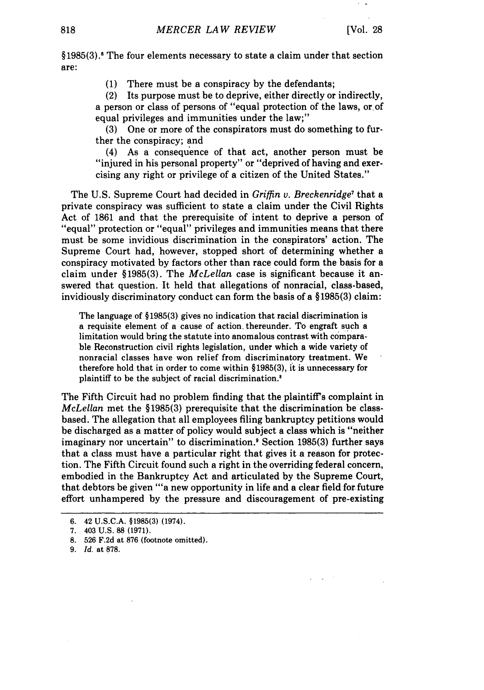§1985(3).' The four elements necessary to state a claim under that section are:

(1) There must be a conspiracy by the defendants;

(2) Its purpose must be to deprive, either directly or indirectly, a person or class of persons of "equal protection of the laws, or of equal privileges and immunities under the law;"

(3) One or more of the conspirators must do something to further the conspiracy; and

(4) As a consequence of that act, another person must be "injured in his personal property" or "deprived of having and exercising any right or privilege of a citizen of the United States."

The U.S. Supreme Court had decided in *Griffin* v. *Breckenridge7* that a private conspiracy was sufficient to state a claim under the Civil Rights Act of 1861 and that the prerequisite of intent to deprive a person of "equal" protection or "equal" privileges and immunities means that there must be some invidious discrimination in the conspirators' action. The Supreme Court had, however, stopped short of determining whether a conspiracy motivated by factors other than race could form the basis for a claim under §1985(3). The *McLellan* case is significant because it answered that question. It held that allegations of nonracial, class-based, invidiously discriminatory conduct can form the basis of a §1985(3) claim:

The language of § 1985(3) gives no indication that racial discrimination is a requisite element of a cause of action, thereunder. To engraft such a limitation would bring the statute into anomalous contrast with comparable Reconstruction civil rights legislation, under which a wide variety of nonracial classes have won relief from discriminatory treatment. We therefore hold that in order to come within §1985(3), it is unnecessary for plaintiff to be the subject of racial discrimination.8

The Fifth Circuit had no problem finding that the plaintiff's complaint in *McLellan* met the §1985(3) prerequisite that the discrimination be classbased. The allegation that all employees filing bankruptcy petitions would be discharged as a matter of policy would subject a class which is "neither imaginary nor uncertain" to discrimination.' Section 1985(3) further says that a class must have a particular right that gives it a reason for protection. The Fifth Circuit found such a right in the overriding federal concern, embodied in the Bankruptcy Act and articulated by the Supreme Court, that debtors be given "'a new opportunity in life and a clear field for future effort unhampered by the pressure and discouragement of pre-existing

<sup>6. 42</sup> **U.S.C.A.** §1985(3) (1974).

<sup>7. 403</sup> U.S. **88** (1971).

**<sup>8.</sup>** 526 F.2d at **876** (footnote omitted).

<sup>9.</sup> *Id.* at **878.**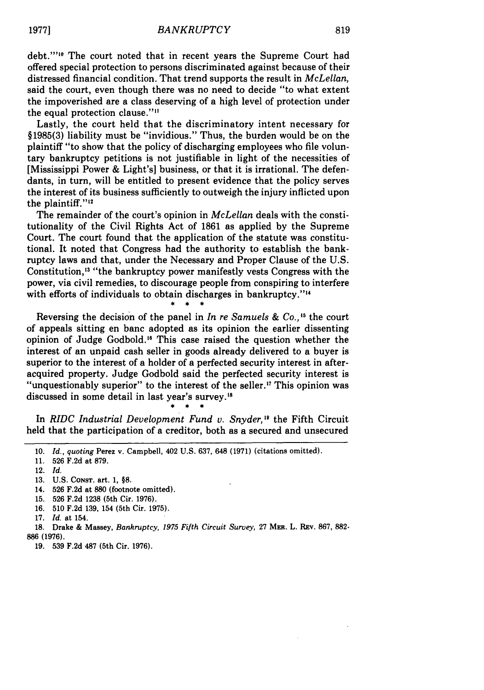debt.""<sup>0</sup> The court noted that in recent years the Supreme Court had offered special protection to persons discriminated against because of their distressed financial condition. That trend supports the result in *McLellan,* said the court, even though there was no need to decide "to what extent the impoverished are a class deserving of a high level of protection under the equal protection clause.""

Lastly, the court held that the discriminatory intent necessary for §1985(3) liability must be "invidious." Thus, the burden would be on the plaintiff "to show that the policy of discharging employees who file voluntary bankruptcy petitions is not justifiable in light of the necessities of [Mississippi Power & Light's] business, or that it is irrational. The defendants, in turn, will be entitled to present evidence that the policy serves the interest of its business sufficiently to outweigh the injury inflicted upon the plaintiff." $12$ 

The remainder of the court's opinion in *McLellan* deals with the constitutionality of the Civil Rights Act of 1861 as applied by the Supreme Court. The court found that the application of the statute was constitutional. It noted that Congress had the authority to establish the bankruptcy laws and that, under the Necessary and Proper Clause of the U.S. Constitution,<sup>13</sup> "the bankruptcy power manifestly vests Congress with the power, via civil remedies, to discourage people from conspiring to interfere with efforts of individuals to obtain discharges in bankruptcy."<sup>14</sup>

Reversing the decision of the panel in *In re Samuels & Co.,* **"5** the court of appeals sitting en banc adopted as its opinion the earlier dissenting opinion of Judge Godbold." This case raised the question whether the interest of an unpaid cash seller in goods already delivered to a buyer is superior to the interest of a holder of a perfected security interest in afteracquired property. Judge Godbold said the perfected security interest is "unquestionably superior" to the interest of the seller." This opinion was discussed in some detail in last year's survey.<sup>18</sup>

In *RIDC Industrial Development Fund v. Snyder,"* the Fifth Circuit held that the participation of a creditor, both as a secured and unsecured

- 13. U.S. CONST. art. 1, **§8.**
- 14. 526 F.2d at 880 (footnote omitted).
- 15. 526 F.2d 1238 (5th Cir. 1976).
- 16. 510 F.2d 139, 154 (5th Cir. 1975).

**19. 539 F.2d 487** (5th Cir. **1976).**

<sup>10.</sup> *Id., quoting* Perez v. Campbell, 402 U.S. 637, 648 (1971) (citations omitted).

<sup>11. 526</sup> F.2d at 879.

<sup>12.</sup> *Id.*

<sup>17.</sup> *Id.* at 154.

<sup>18.</sup> Drake & Massey, *Bankruptcy, 1975 Fifth Circuit Survey,* 27 MaE. L. REv. 867, 882- **886 (1976).**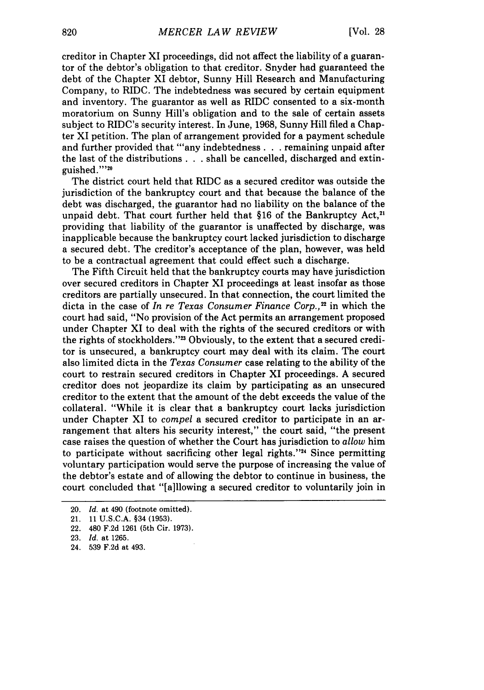creditor in Chapter XI proceedings, did not affect the liability of a guarantor of the debtor's obligation to that creditor. Snyder had guaranteed the debt of the Chapter XI debtor, Sunny Hill Research and Manufacturing Company, to RIDC. The indebtedness was secured by certain equipment and inventory. The guarantor as well as RIDC consented to a six-month moratorium on Sunny Hill's obligation and to the sale of certain assets subject to RIDC's security interest. In June, 1968, Sunny Hill filed a Chapter XI petition. The plan of arrangement provided for a payment schedule and further provided that "any indebtedness . . . remaining unpaid after the last of the distributions **. . .** shall be cancelled, discharged and extinguished.""20

The district court held that RIDC as a secured creditor was outside the jurisdiction of the bankruptcy court and that because the balance of the debt was discharged, the guarantor had no liability on the balance of the unpaid debt. That court further held that §16 of the Bankruptcy Act,<sup>21</sup> providing that liability of the guarantor is unaffected by discharge, was inapplicable because the bankruptcy court lacked jurisdiction to discharge a secured debt. The creditor's acceptance of the plan, however, was held to be a contractual agreement that could effect such a discharge.

The Fifth Circuit held that the bankruptcy courts may have jurisdiction over secured creditors in Chapter XI proceedings at least insofar as those creditors are partially unsecured. In that connection, the court limited the dicta in the case of *In re Texas Consumer Finance Corp.,2* in which the court had said, "No provision of the Act permits an arrangement proposed under Chapter XI to deal with the rights of the secured creditors or with the rights of stockholders."<sup>23</sup> Obviously, to the extent that a secured creditor is unsecured, a bankruptcy court may deal with its claim. The court also limited dicta in the *Texas Consumer* case relating to the ability **of** the court to restrain secured creditors in Chapter XI proceedings. A secured creditor does not jeopardize its claim by participating as an unsecured creditor to the extent that the amount of the debt exceeds the value of the collateral. "While it is clear that a bankruptcy court lacks jurisdiction under Chapter XI to *compel* a secured creditor to participate in an arrangement that alters his security interest," the court said, "the present case raises the question of whether the Court has jurisdiction to *allow* him to participate without sacrificing other legal rights."<sup>24</sup> Since permitting voluntary participation would serve the purpose of increasing the value of the debtor's estate and of allowing the debtor to continue in business, the court concluded that "[a]llowing a secured creditor to voluntarily join in

<sup>20.</sup> *Id.* at 490 (footnote omitted).

<sup>21. 11</sup> U.S.C.A. §34 (1953).

<sup>22. 480</sup> F.2d 1261 (5th Cir. 1973).

<sup>23.</sup> *Id.* at 1265.

<sup>24. 539</sup> F.2d at 493.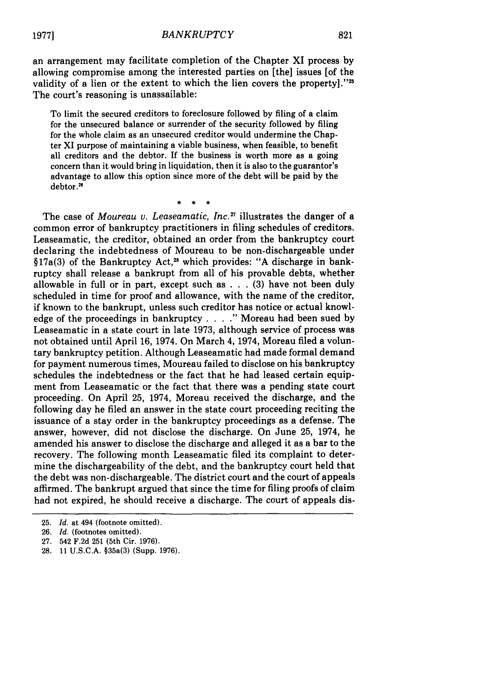#### *BANKRUPTCY*

an arrangement may facilitate completion of the Chapter XI process by allowing compromise among the interested parties on [the] issues [of the validity of a lien or the extent to which the lien covers the property]."25 The court's reasoning is unassailable:

To limit the secured creditors to foreclosure followed by filing of a claim for the unsecured balance or surrender of the security followed by filing for the whole claim as an unsecured creditor would undermine the Chapter XI purpose of maintaining a viable business, when feasible, to benefit all creditors and the debtor. If the business is worth more as a going concern than it would bring in liquidation, then it is also to the guarantor's advantage to allow this option since more of the debt will be paid by the debtor.<sup>20</sup>

The case of *Moureau v. Leaseamatic, Inc.*<sup>27</sup> illustrates the danger of a common error of bankruptcy practitioners in filing schedules of creditors. Leaseamatic, the creditor, obtained an order from the bankruptcy court declaring the indebtedness of Moureau to be non-dischargeable under §17a(3) of the Bankruptcy Act,<sup>28</sup> which provides: "A discharge in bankruptcy shall release a bankrupt from all of his provable debts, whether allowable in full or in part, except such as . **.** . (3) have not been duly scheduled in time for proof and allowance, with the name of the creditor, if known to the bankrupt, unless such creditor has notice or actual knowledge of the proceedings in bankruptcy . **. . ."** Moreau had been sued by Leaseamatic in a state court in late 1973, although service of process was not obtained until April 16, 1974. On March 4, 1974, Moreau filed a voluntary bankruptcy petition. Although Leaseamatic had made formal demand for payment numerous times, Moureau failed to disclose on his bankruptcy schedules the indebtedness or the fact that he had leased certain equipment from Leaseamatic or the fact that there was a pending state court proceeding. On April 25, 1974, Moreau received the discharge, and the following day he filed an answer in the state court proceeding reciting the issuance of a stay order in the bankruptcy proceedings as a defense. The answer, however, did not disclose the discharge. On June 25, 1974, he amended his answer to disclose the discharge and alleged it as a bar to the recovery. The following month Leaseamatic filed its complaint to determine the dischargeability of the debt, and the bankruptcy court held that the debt was non-dischargeable. The district court and the court of appeals affirmed. The bankrupt argued that since the time for filing proofs of claim had not expired, he should receive a discharge. The court of appeals dis-

**1977]**

<sup>25.</sup> *Id.* at 494 (footnote omitted).

<sup>26.</sup> *Id.* (footnotes omitted).

<sup>27. 542</sup> F.2d 251 (5th Cir. 1976).

<sup>28. 11</sup> U.S.C.A. §35a(3) (Supp. 1976).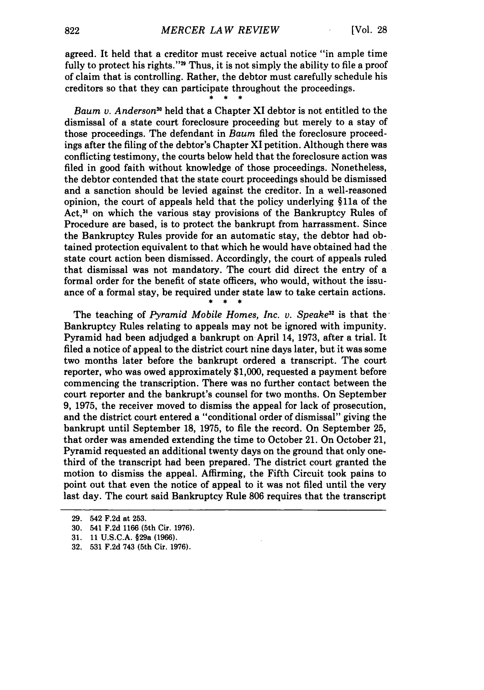agreed. It held that a creditor must receive actual notice "in ample time fully to protect his rights."<sup>29</sup> Thus, it is not simply the ability to file a proof of claim that is controlling. Rather, the debtor must carefully schedule his creditors so that they can participate throughout the proceedings.

*Baum v. Anderson"* held that a Chapter XI debtor is not entitled to the dismissal of a state court foreclosure proceeding but merely to a stay of those proceedings. The defendant in *Baum* filed the foreclosure proceedings after the filing of the debtor's Chapter XI petition. Although there was conflicting testimony, the courts below held that the foreclosure action was filed in good faith without knowledge of those proceedings. Nonetheless, the debtor contended that the state court proceedings should be dismissed and a sanction should be levied against the creditor. In a well-reasoned opinion, the court of appeals held that the policy underlying §11a of the Act,<sup>31</sup> on which the various stay provisions of the Bankruptcy Rules of Procedure are based, is to protect the bankrupt from harrassment. Since the Bankruptcy Rules provide for an automatic stay, the debtor had obtained protection equivalent to that which he would have obtained had the state court action been dismissed. Accordingly, the court of appeals ruled that dismissal was not mandatory. The court did direct the entry of a formal order for the benefit of state officers, who would, without the issuance of a formal stay, be required under state law to take certain actions.

The teaching of *Pyramid Mobile Homes, Inc. v. Speake*<sup>32</sup> is that the Bankruptcy Rules relating to appeals may not be ignored with impunity. Pyramid had been adjudged a bankrupt on April 14, 1973, after a trial. It filed a notice of appeal to the district court nine days later, but it was some two months later before the bankrupt ordered a transcript. The court reporter, who was owed approximately \$1,000, requested a payment before commencing the transcription. There was no further contact between the court reporter and the bankrupt's counsel for two months. On September 9, 1975, the receiver moved to dismiss the appeal for lack of prosecution, and the district court entered a "conditional order of dismissal" giving the bankrupt until September 18, 1975, to file the record. On September 25, that order was amended extending the time to October 21. On October 21, Pyramid requested an additional twenty days on the ground that only onethird of the transcript had been prepared. The district court granted the motion to dismiss the appeal. Affirming, the Fifth Circuit took pains to point out that even the notice of appeal to it was not filed until the very last day. The court said Bankruptcy Rule 806 requires that the transcript

<sup>29. 542</sup> F.2d at 253.

**<sup>30.</sup>** 541 **F.2d 1166** (5th Cir. **1976).**

**<sup>31. 11</sup> U.S.C.A.** §29a **(1966).**

**<sup>32. 531</sup> F.2d** 743 (5th Cir. **1976).**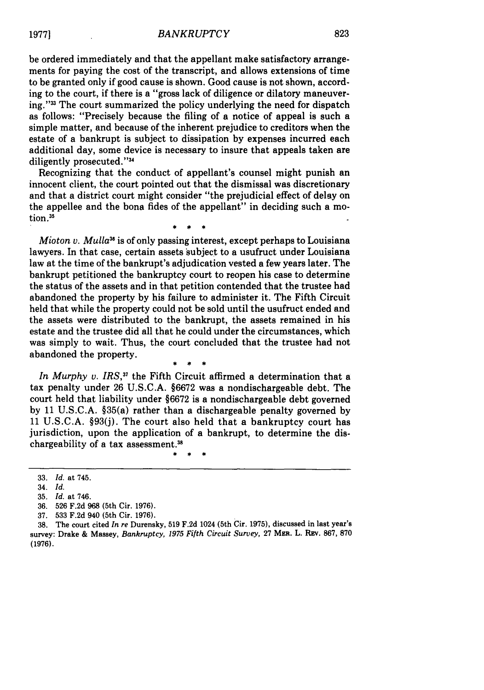#### *BANKRUPTCY*

be ordered immediately and that the appellant make satisfactory arrangements for paying the cost of the transcript, and allows extensions of time to be granted only if good cause is shown. Good cause is not shown, according to the court, if there is a "gross lack of diligence or dilatory maneuvering."<sup>33</sup> The court summarized the policy underlying the need for dispatch as follows: "Precisely because the filing of a notice of appeal is such a simple matter, and because of the inherent prejudice to creditors when the estate of a bankrupt is subject to dissipation by expenses incurred each additional day, some device is necessary to insure that appeals taken are diligently prosecuted. '34

Recognizing that the conduct of appellant's counsel might punish an innocent client, the court pointed out that the dismissal was discretionary and that a district court might consider "the prejudicial effect of delay on the appellee and the bona fides of the appellant" in deciding such a motion.<sup>35</sup>

*Mioton v. Mulla*<sup>36</sup> is of only passing interest, except perhaps to Louisiana lawyers. In that case, certain assets subject to a usufruct under Louisiana law at the time of the bankrupt's adjudication vested a few years later. The bankrupt petitioned the bankruptcy court to reopen his case to determine the status of the assets and in that petition contended that the trustee had abandoned the property by his failure to administer it. The Fifth Circuit held that while the property could not be sold until the usufruct ended and the assets were distributed to the bankrupt, the assets remained in his estate and the trustee did all that he could under the circumstances, which was simply to wait. Thus, the court concluded that the trustee had not abandoned the property.

In Murphy v. IRS,<sup>37</sup> the Fifth Circuit affirmed a determination that a tax penalty under 26 U.S.C.A. §6672 was a nondischargeable debt. The court held that liability under §6672 is a nondischargeable debt governed by 11 U.S.C.A. §35(a) rather than a dischargeable penalty governed by 11 U.S.C.A. §93(j). The court also held that a bankruptcy court has jurisdiction, upon the application of a bankrupt, to determine the dischargeability of a tax assessment.<sup>38</sup>

**19771**

<sup>33.</sup> *Id.* at 745.

<sup>34.</sup> *Id.*

<sup>35.</sup> *Id.* at 746.

<sup>36. 526</sup> F.2d 968 (5th Cir. 1976).

<sup>37. 533</sup> F.2d 940 (5th Cir. 1976).

<sup>38.</sup> The court cited *In re* Durensky, 519 F.2d 1024 (5th Cir. 1975), discussed in last year's survey: Drake **&** Massey, *Bankruptcy, 1975 Fifth Circuit Survey,* 27 MER. L. REv. **867, 870 (1976).**